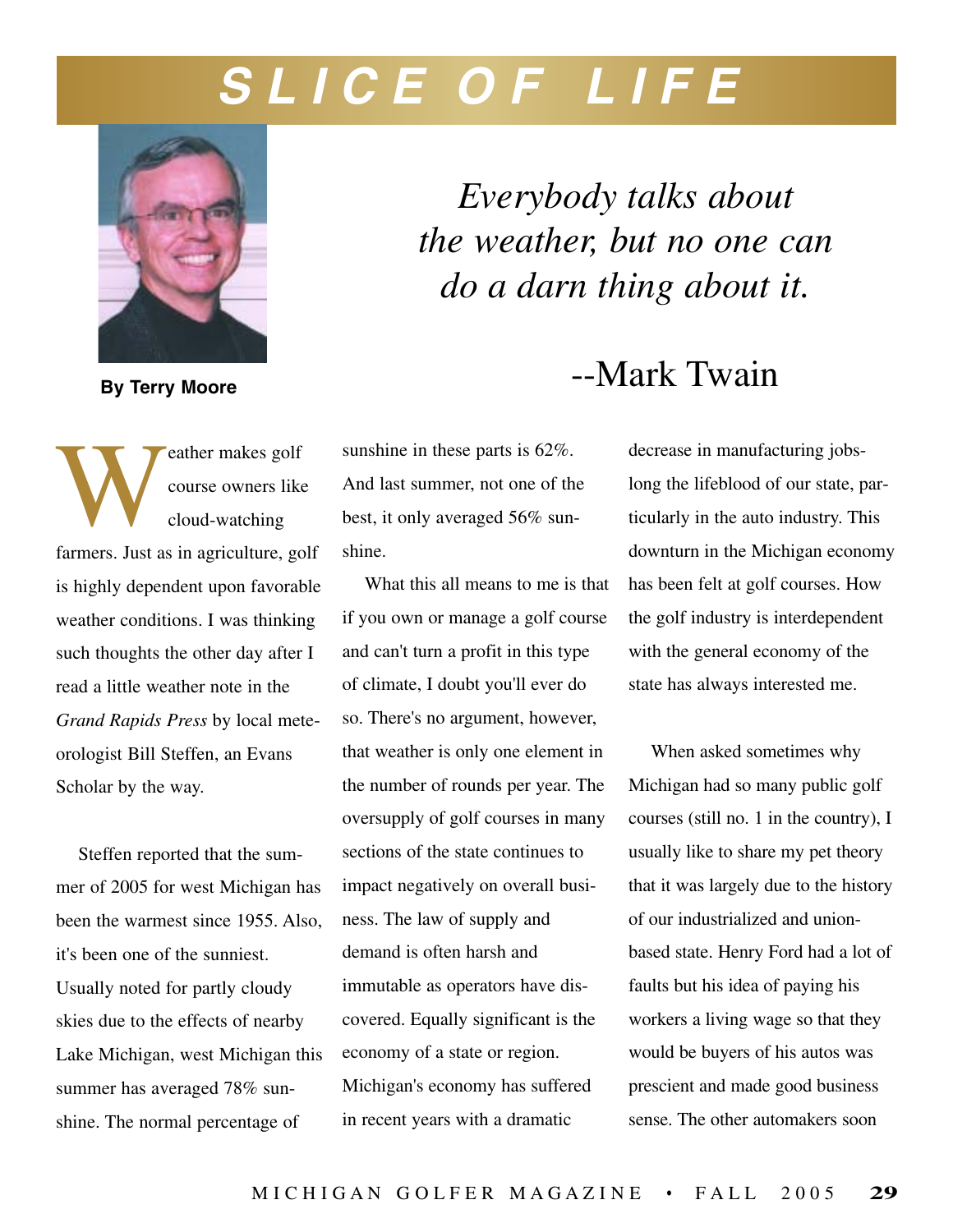## **S L I C E O F L I F E**



**By Terry Moore**

Example 2017 Course owners like cloud-watching course owners like cloud-watching farmers. Just as in agriculture, golf is highly dependent upon favorable weather conditions. I was thinking such thoughts the other day after I read a little weather note in the *Grand Rapids Press* by local meteorologist Bill Steffen, an Evans Scholar by the way.

Steffen reported that the summer of 2005 for west Michigan has been the warmest since 1955. Also, it's been one of the sunniest. Usually noted for partly cloudy skies due to the effects of nearby Lake Michigan, west Michigan this summer has averaged 78% sunshine. The normal percentage of

*Everybody talks about the weather, but no one can do a darn thing about it.*

## --Mark Twain

sunshine in these parts is 62%. And last summer, not one of the best, it only averaged 56% sunshine.

What this all means to me is that if you own or manage a golf course and can't turn a profit in this type of climate, I doubt you'll ever do so. There's no argument, however, that weather is only one element in the number of rounds per year. The oversupply of golf courses in many sections of the state continues to impact negatively on overall business. The law of supply and demand is often harsh and immutable as operators have discovered. Equally significant is the economy of a state or region. Michigan's economy has suffered in recent years with a dramatic

decrease in manufacturing jobslong the lifeblood of our state, particularly in the auto industry. This downturn in the Michigan economy has been felt at golf courses. How the golf industry is interdependent with the general economy of the state has always interested me.

When asked sometimes why Michigan had so many public golf courses (still no. 1 in the country), I usually like to share my pet theory that it was largely due to the history of our industrialized and unionbased state. Henry Ford had a lot of faults but his idea of paying his workers a living wage so that they would be buyers of his autos was prescient and made good business sense. The other automakers soon